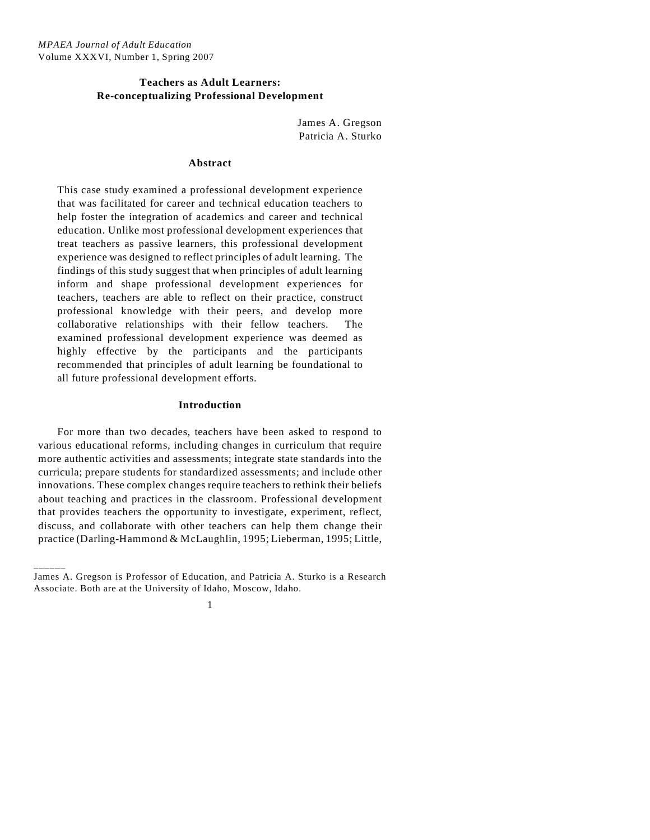## **Teachers as Adult Learners: Re-conceptualizing Professional Development**

James A. Gregson Patricia A. Sturko

## **Abstract**

This case study examined a professional development experience that was facilitated for career and technical education teachers to help foster the integration of academics and career and technical education. Unlike most professional development experiences that treat teachers as passive learners, this professional development experience was designed to reflect principles of adult learning. The findings of this study suggest that when principles of adult learning inform and shape professional development experiences for teachers, teachers are able to reflect on their practice, construct professional knowledge with their peers, and develop more collaborative relationships with their fellow teachers. The examined professional development experience was deemed as highly effective by the participants and the participants recommended that principles of adult learning be foundational to all future professional development efforts.

## **Introduction**

For more than two decades, teachers have been asked to respond to various educational reforms, including changes in curriculum that require more authentic activities and assessments; integrate state standards into the curricula; prepare students for standardized assessments; and include other innovations. These complex changes require teachers to rethink their beliefs about teaching and practices in the classroom. Professional development that provides teachers the opportunity to investigate, experiment, reflect, discuss, and collaborate with other teachers can help them change their practice (Darling-Hammond & McLaughlin, 1995; Lieberman, 1995; Little,

\_\_\_\_\_\_



James A. Gregson is Professor of Education, and Patricia A. Sturko is a Research Associate. Both are at the University of Idaho, Moscow, Idaho.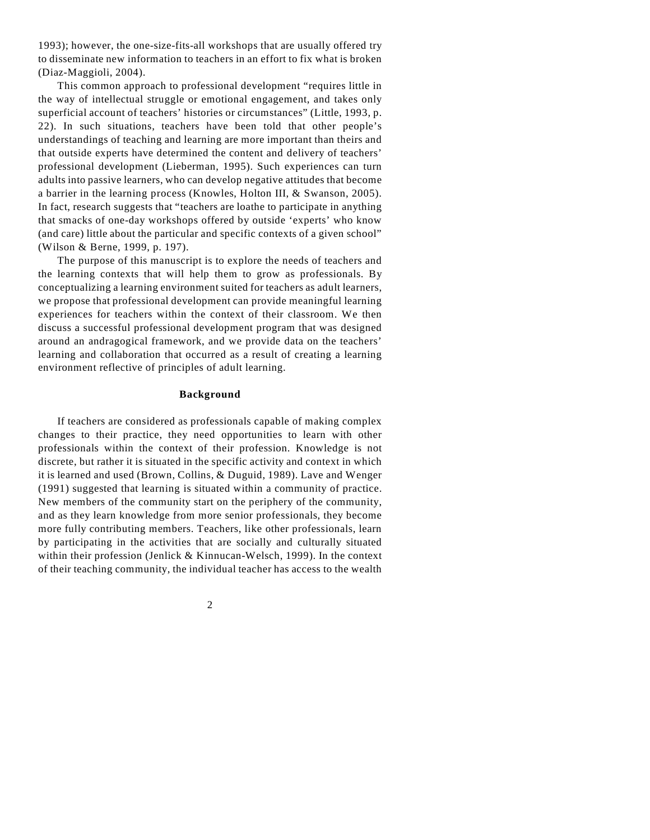1993); however, the one-size-fits-all workshops that are usually offered try to disseminate new information to teachers in an effort to fix what is broken (Diaz-Maggioli, 2004).

This common approach to professional development "requires little in the way of intellectual struggle or emotional engagement, and takes only superficial account of teachers' histories or circumstances" (Little, 1993, p. 22). In such situations, teachers have been told that other people's understandings of teaching and learning are more important than theirs and that outside experts have determined the content and delivery of teachers' professional development (Lieberman, 1995). Such experiences can turn adults into passive learners, who can develop negative attitudes that become a barrier in the learning process (Knowles, Holton III, & Swanson, 2005). In fact, research suggests that "teachers are loathe to participate in anything that smacks of one-day workshops offered by outside 'experts' who know (and care) little about the particular and specific contexts of a given school" (Wilson & Berne, 1999, p. 197).

The purpose of this manuscript is to explore the needs of teachers and the learning contexts that will help them to grow as professionals. By conceptualizing a learning environment suited for teachers as adult learners, we propose that professional development can provide meaningful learning experiences for teachers within the context of their classroom. We then discuss a successful professional development program that was designed around an andragogical framework, and we provide data on the teachers' learning and collaboration that occurred as a result of creating a learning environment reflective of principles of adult learning.

#### **Background**

If teachers are considered as professionals capable of making complex changes to their practice, they need opportunities to learn with other professionals within the context of their profession. Knowledge is not discrete, but rather it is situated in the specific activity and context in which it is learned and used (Brown, Collins, & Duguid, 1989). Lave and Wenger (1991) suggested that learning is situated within a community of practice. New members of the community start on the periphery of the community, and as they learn knowledge from more senior professionals, they become more fully contributing members. Teachers, like other professionals, learn by participating in the activities that are socially and culturally situated within their profession (Jenlick & Kinnucan-Welsch, 1999). In the context of their teaching community, the individual teacher has access to the wealth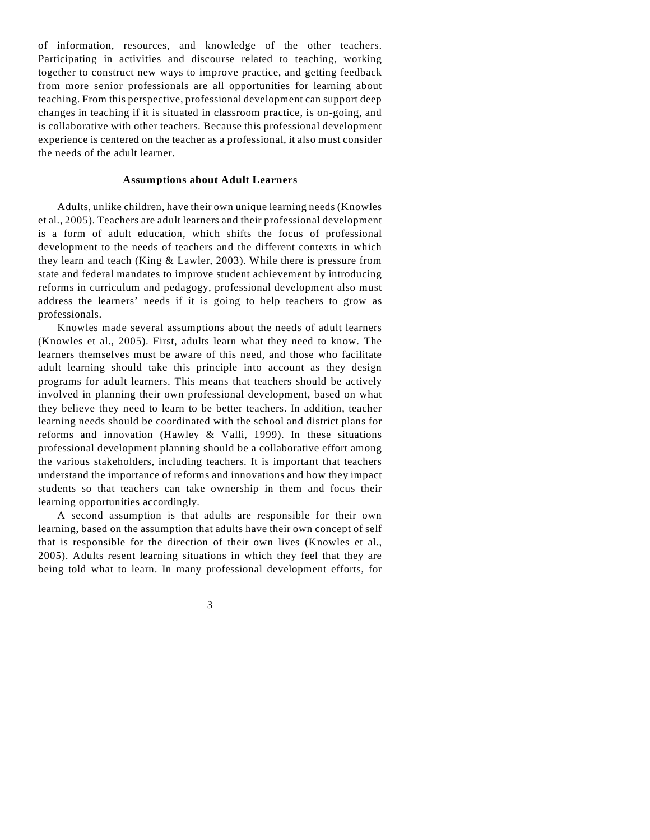of information, resources, and knowledge of the other teachers. Participating in activities and discourse related to teaching, working together to construct new ways to improve practice, and getting feedback from more senior professionals are all opportunities for learning about teaching. From this perspective, professional development can support deep changes in teaching if it is situated in classroom practice, is on-going, and is collaborative with other teachers. Because this professional development experience is centered on the teacher as a professional, it also must consider the needs of the adult learner.

#### **Assumptions about Adult Learners**

Adults, unlike children, have their own unique learning needs (Knowles et al., 2005). Teachers are adult learners and their professional development is a form of adult education, which shifts the focus of professional development to the needs of teachers and the different contexts in which they learn and teach (King & Lawler, 2003). While there is pressure from state and federal mandates to improve student achievement by introducing reforms in curriculum and pedagogy, professional development also must address the learners' needs if it is going to help teachers to grow as professionals.

Knowles made several assumptions about the needs of adult learners (Knowles et al., 2005). First, adults learn what they need to know. The learners themselves must be aware of this need, and those who facilitate adult learning should take this principle into account as they design programs for adult learners. This means that teachers should be actively involved in planning their own professional development, based on what they believe they need to learn to be better teachers. In addition, teacher learning needs should be coordinated with the school and district plans for reforms and innovation (Hawley & Valli, 1999). In these situations professional development planning should be a collaborative effort among the various stakeholders, including teachers. It is important that teachers understand the importance of reforms and innovations and how they impact students so that teachers can take ownership in them and focus their learning opportunities accordingly.

A second assumption is that adults are responsible for their own learning, based on the assumption that adults have their own concept of self that is responsible for the direction of their own lives (Knowles et al., 2005). Adults resent learning situations in which they feel that they are being told what to learn. In many professional development efforts, for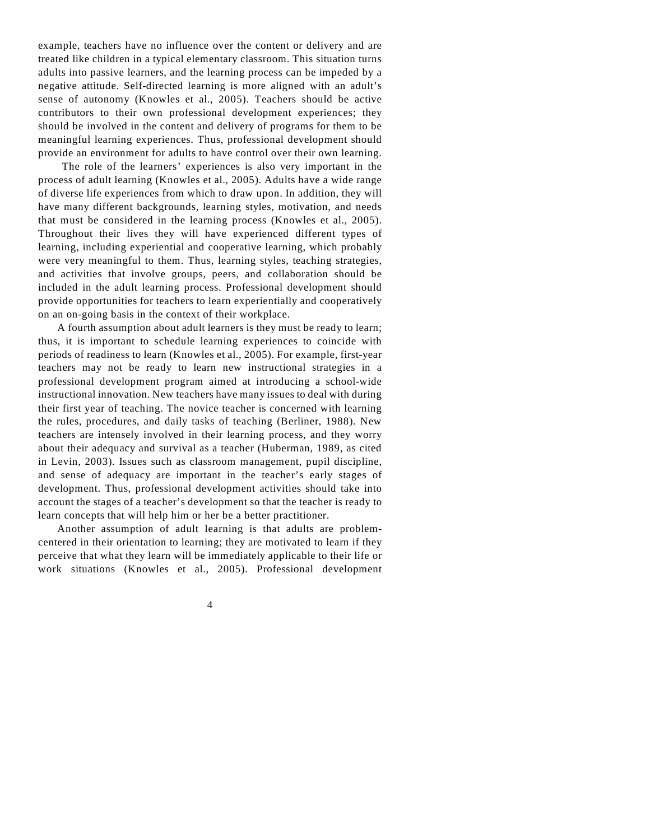example, teachers have no influence over the content or delivery and are treated like children in a typical elementary classroom. This situation turns adults into passive learners, and the learning process can be impeded by a negative attitude. Self-directed learning is more aligned with an adult's sense of autonomy (Knowles et al., 2005). Teachers should be active contributors to their own professional development experiences; they should be involved in the content and delivery of programs for them to be meaningful learning experiences. Thus, professional development should provide an environment for adults to have control over their own learning.

 The role of the learners' experiences is also very important in the process of adult learning (Knowles et al., 2005). Adults have a wide range of diverse life experiences from which to draw upon. In addition, they will have many different backgrounds, learning styles, motivation, and needs that must be considered in the learning process (Knowles et al., 2005). Throughout their lives they will have experienced different types of learning, including experiential and cooperative learning, which probably were very meaningful to them. Thus, learning styles, teaching strategies, and activities that involve groups, peers, and collaboration should be included in the adult learning process. Professional development should provide opportunities for teachers to learn experientially and cooperatively on an on-going basis in the context of their workplace.

A fourth assumption about adult learners is they must be ready to learn; thus, it is important to schedule learning experiences to coincide with periods of readiness to learn (Knowles et al., 2005). For example, first-year teachers may not be ready to learn new instructional strategies in a professional development program aimed at introducing a school-wide instructional innovation. New teachers have many issues to deal with during their first year of teaching. The novice teacher is concerned with learning the rules, procedures, and daily tasks of teaching (Berliner, 1988). New teachers are intensely involved in their learning process, and they worry about their adequacy and survival as a teacher (Huberman, 1989, as cited in Levin, 2003). Issues such as classroom management, pupil discipline, and sense of adequacy are important in the teacher's early stages of development. Thus, professional development activities should take into account the stages of a teacher's development so that the teacher is ready to learn concepts that will help him or her be a better practitioner.

Another assumption of adult learning is that adults are problemcentered in their orientation to learning; they are motivated to learn if they perceive that what they learn will be immediately applicable to their life or work situations (Knowles et al., 2005). Professional development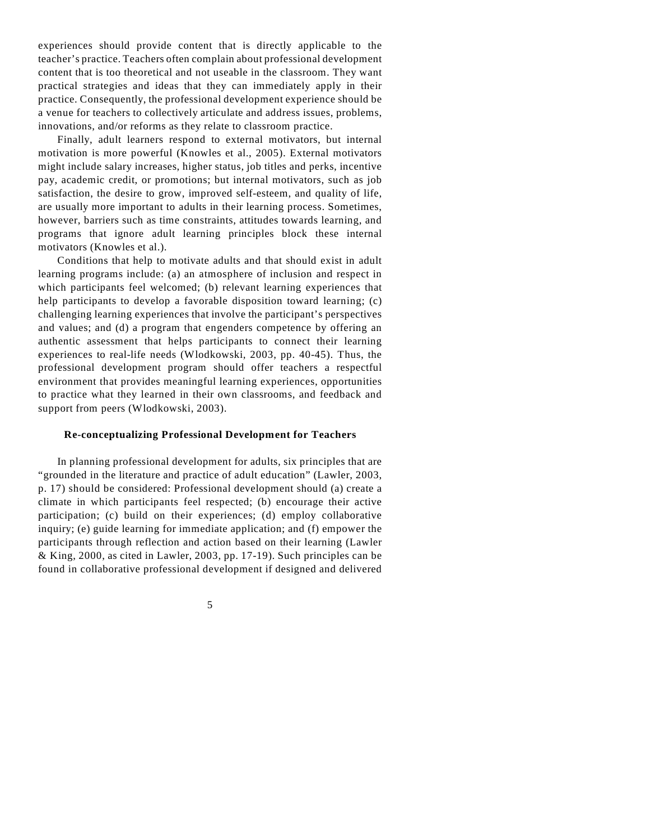experiences should provide content that is directly applicable to the teacher's practice. Teachers often complain about professional development content that is too theoretical and not useable in the classroom. They want practical strategies and ideas that they can immediately apply in their practice. Consequently, the professional development experience should be a venue for teachers to collectively articulate and address issues, problems, innovations, and/or reforms as they relate to classroom practice.

Finally, adult learners respond to external motivators, but internal motivation is more powerful (Knowles et al., 2005). External motivators might include salary increases, higher status, job titles and perks, incentive pay, academic credit, or promotions; but internal motivators, such as job satisfaction, the desire to grow, improved self-esteem, and quality of life, are usually more important to adults in their learning process. Sometimes, however, barriers such as time constraints, attitudes towards learning, and programs that ignore adult learning principles block these internal motivators (Knowles et al.).

Conditions that help to motivate adults and that should exist in adult learning programs include: (a) an atmosphere of inclusion and respect in which participants feel welcomed; (b) relevant learning experiences that help participants to develop a favorable disposition toward learning; (c) challenging learning experiences that involve the participant's perspectives and values; and (d) a program that engenders competence by offering an authentic assessment that helps participants to connect their learning experiences to real-life needs (Wlodkowski, 2003, pp. 40-45). Thus, the professional development program should offer teachers a respectful environment that provides meaningful learning experiences, opportunities to practice what they learned in their own classrooms, and feedback and support from peers (Wlodkowski, 2003).

#### **Re-conceptualizing Professional Development for Teachers**

In planning professional development for adults, six principles that are "grounded in the literature and practice of adult education" (Lawler, 2003, p. 17) should be considered: Professional development should (a) create a climate in which participants feel respected; (b) encourage their active participation; (c) build on their experiences; (d) employ collaborative inquiry; (e) guide learning for immediate application; and (f) empower the participants through reflection and action based on their learning (Lawler & King, 2000, as cited in Lawler, 2003, pp. 17-19). Such principles can be found in collaborative professional development if designed and delivered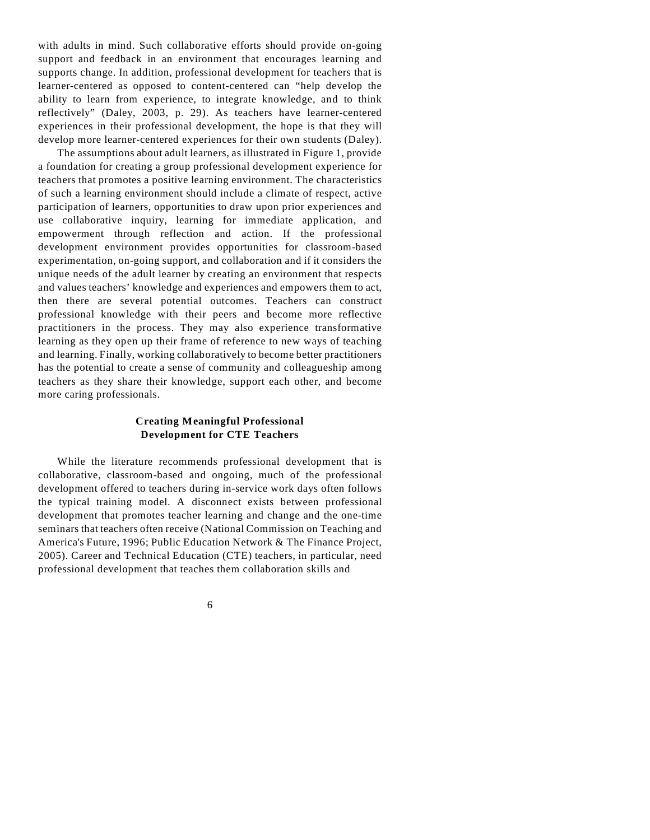with adults in mind. Such collaborative efforts should provide on-going support and feedback in an environment that encourages learning and supports change. In addition, professional development for teachers that is learner-centered as opposed to content-centered can "help develop the ability to learn from experience, to integrate knowledge, and to think reflectively" (Daley, 2003, p. 29). As teachers have learner-centered experiences in their professional development, the hope is that they will develop more learner-centered experiences for their own students (Daley).

The assumptions about adult learners, as illustrated in Figure 1, provide a foundation for creating a group professional development experience for teachers that promotes a positive learning environment. The characteristics of such a learning environment should include a climate of respect, active participation of learners, opportunities to draw upon prior experiences and use collaborative inquiry, learning for immediate application, and empowerment through reflection and action. If the professional development environment provides opportunities for classroom-based experimentation, on-going support, and collaboration and if it considers the unique needs of the adult learner by creating an environment that respects and values teachers' knowledge and experiences and empowers them to act, then there are several potential outcomes. Teachers can construct professional knowledge with their peers and become more reflective practitioners in the process. They may also experience transformative learning as they open up their frame of reference to new ways of teaching and learning. Finally, working collaboratively to become better practitioners has the potential to create a sense of community and colleagueship among teachers as they share their knowledge, support each other, and become more caring professionals.

# **Creating Meaningful Professional Development for CTE Teachers**

While the literature recommends professional development that is collaborative, classroom-based and ongoing, much of the professional development offered to teachers during in-service work days often follows the typical training model. A disconnect exists between professional development that promotes teacher learning and change and the one-time seminars that teachers often receive (National Commission on Teaching and America's Future, 1996; Public Education Network & The Finance Project, 2005). Career and Technical Education (CTE) teachers, in particular, need professional development that teaches them collaboration skills and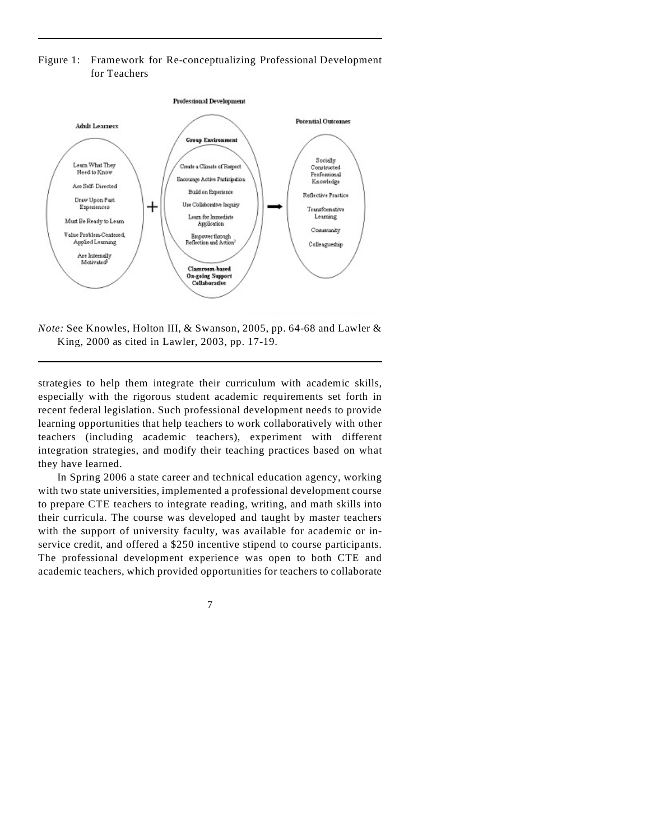## Figure 1: Framework for Re-conceptualizing Professional Development for Teachers



*Note:* See Knowles, Holton III, & Swanson, 2005, pp. 64-68 and Lawler & King, 2000 as cited in Lawler, 2003, pp. 17-19.

strategies to help them integrate their curriculum with academic skills, especially with the rigorous student academic requirements set forth in recent federal legislation. Such professional development needs to provide learning opportunities that help teachers to work collaboratively with other teachers (including academic teachers), experiment with different integration strategies, and modify their teaching practices based on what they have learned.

In Spring 2006 a state career and technical education agency, working with two state universities, implemented a professional development course to prepare CTE teachers to integrate reading, writing, and math skills into their curricula. The course was developed and taught by master teachers with the support of university faculty, was available for academic or inservice credit, and offered a \$250 incentive stipend to course participants. The professional development experience was open to both CTE and academic teachers, which provided opportunities for teachers to collaborate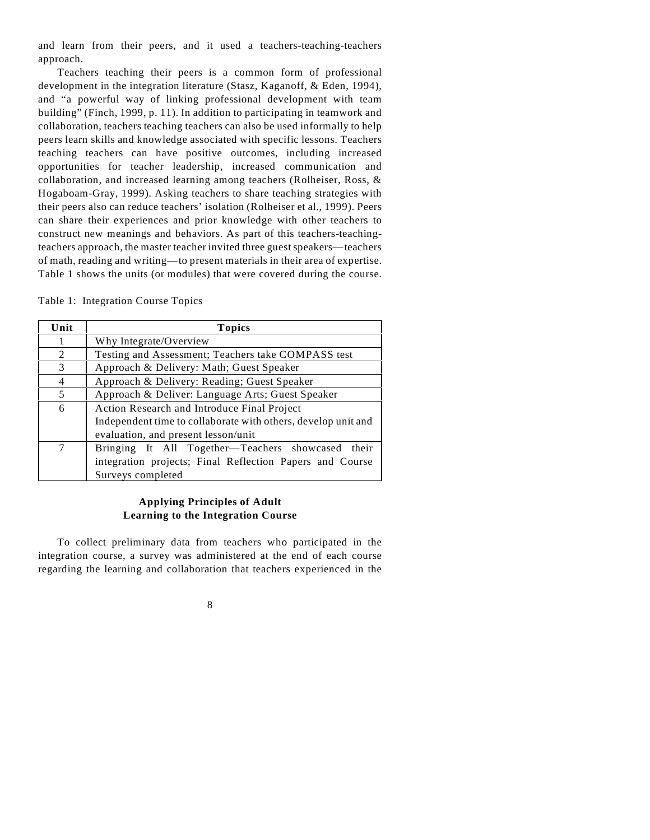and learn from their peers, and it used a teachers-teaching-teachers approach.

Teachers teaching their peers is a common form of professional development in the integration literature (Stasz, Kaganoff, & Eden, 1994), and "a powerful way of linking professional development with team building" (Finch, 1999, p. 11). In addition to participating in teamwork and collaboration, teachers teaching teachers can also be used informally to help peers learn skills and knowledge associated with specific lessons. Teachers teaching teachers can have positive outcomes, including increased opportunities for teacher leadership, increased communication and collaboration, and increased learning among teachers (Rolheiser, Ross, & Hogaboam-Gray, 1999). Asking teachers to share teaching strategies with their peers also can reduce teachers' isolation (Rolheiser et al., 1999). Peers can share their experiences and prior knowledge with other teachers to construct new meanings and behaviors. As part of this teachers-teachingteachers approach, the master teacher invited three guest speakers—teachers of math, reading and writing—to present materials in their area of expertise. Table 1 shows the units (or modules) that were covered during the course.

|  | Table 1: Integration Course Topics |  |  |
|--|------------------------------------|--|--|
|--|------------------------------------|--|--|

| Unit           | <b>Topics</b>                                                 |
|----------------|---------------------------------------------------------------|
|                | Why Integrate/Overview                                        |
| 2              | Testing and Assessment; Teachers take COMPASS test            |
| 3              | Approach & Delivery: Math; Guest Speaker                      |
| $\overline{4}$ | Approach & Delivery: Reading; Guest Speaker                   |
| 5              | Approach & Deliver: Language Arts; Guest Speaker              |
| 6              | Action Research and Introduce Final Project                   |
|                | Independent time to collaborate with others, develop unit and |
|                | evaluation, and present lesson/unit                           |
| 7              | Bringing It All Together-Teachers showcased their             |
|                | integration projects; Final Reflection Papers and Course      |
|                | Surveys completed                                             |

## **Applying Principles of Adult Learning to the Integration Course**

To collect preliminary data from teachers who participated in the integration course, a survey was administered at the end of each course regarding the learning and collaboration that teachers experienced in the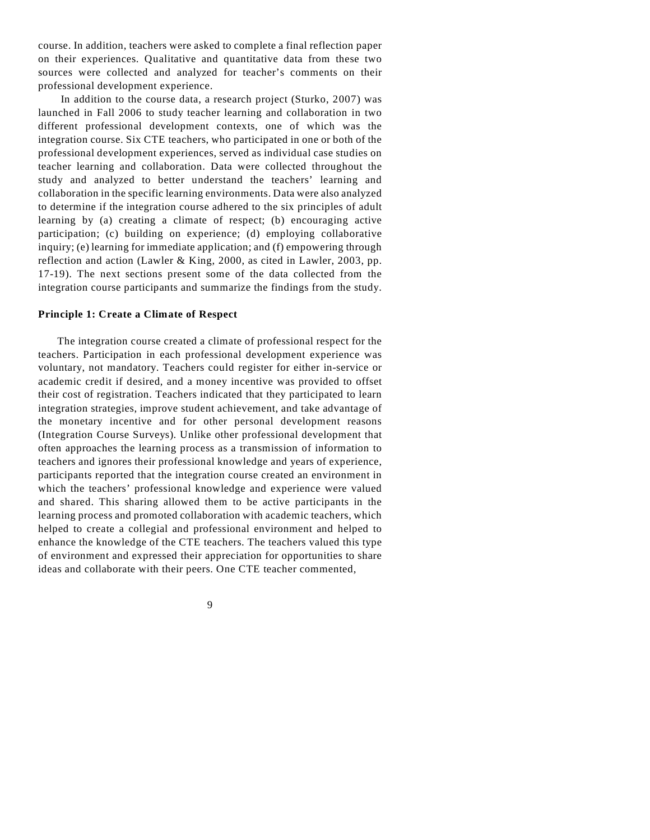course. In addition, teachers were asked to complete a final reflection paper on their experiences. Qualitative and quantitative data from these two sources were collected and analyzed for teacher's comments on their professional development experience.

 In addition to the course data, a research project (Sturko, 2007) was launched in Fall 2006 to study teacher learning and collaboration in two different professional development contexts, one of which was the integration course. Six CTE teachers, who participated in one or both of the professional development experiences, served as individual case studies on teacher learning and collaboration. Data were collected throughout the study and analyzed to better understand the teachers' learning and collaboration in the specific learning environments. Data were also analyzed to determine if the integration course adhered to the six principles of adult learning by (a) creating a climate of respect; (b) encouraging active participation; (c) building on experience; (d) employing collaborative inquiry; (e) learning for immediate application; and (f) empowering through reflection and action (Lawler & King, 2000, as cited in Lawler, 2003, pp. 17-19). The next sections present some of the data collected from the integration course participants and summarize the findings from the study.

## **Principle 1: Create a Climate of Respect**

The integration course created a climate of professional respect for the teachers. Participation in each professional development experience was voluntary, not mandatory. Teachers could register for either in-service or academic credit if desired, and a money incentive was provided to offset their cost of registration. Teachers indicated that they participated to learn integration strategies, improve student achievement, and take advantage of the monetary incentive and for other personal development reasons (Integration Course Surveys). Unlike other professional development that often approaches the learning process as a transmission of information to teachers and ignores their professional knowledge and years of experience, participants reported that the integration course created an environment in which the teachers' professional knowledge and experience were valued and shared. This sharing allowed them to be active participants in the learning process and promoted collaboration with academic teachers, which helped to create a collegial and professional environment and helped to enhance the knowledge of the CTE teachers. The teachers valued this type of environment and expressed their appreciation for opportunities to share ideas and collaborate with their peers. One CTE teacher commented,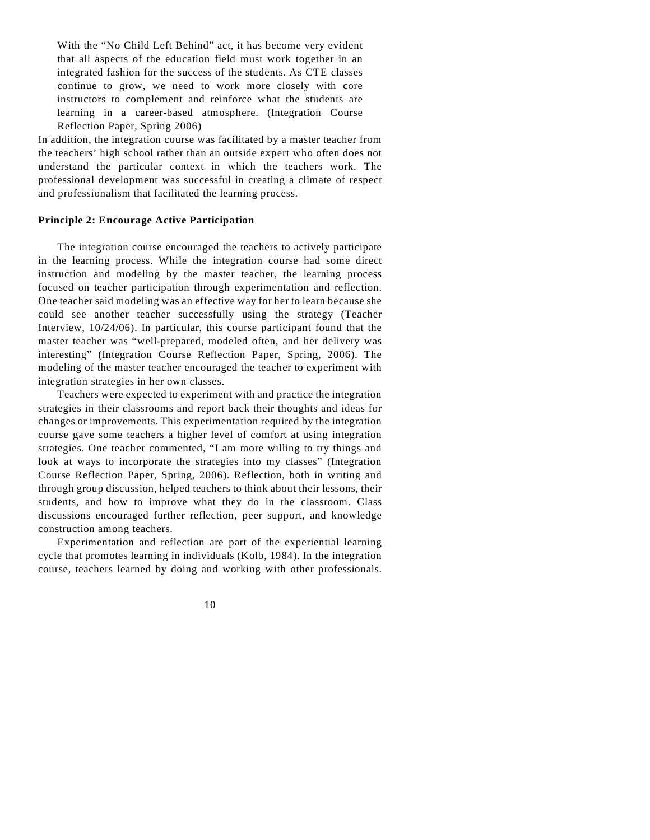With the "No Child Left Behind" act, it has become very evident that all aspects of the education field must work together in an integrated fashion for the success of the students. As CTE classes continue to grow, we need to work more closely with core instructors to complement and reinforce what the students are learning in a career-based atmosphere. (Integration Course Reflection Paper, Spring 2006)

In addition, the integration course was facilitated by a master teacher from the teachers' high school rather than an outside expert who often does not understand the particular context in which the teachers work. The professional development was successful in creating a climate of respect and professionalism that facilitated the learning process.

#### **Principle 2: Encourage Active Participation**

The integration course encouraged the teachers to actively participate in the learning process. While the integration course had some direct instruction and modeling by the master teacher, the learning process focused on teacher participation through experimentation and reflection. One teacher said modeling was an effective way for her to learn because she could see another teacher successfully using the strategy (Teacher Interview, 10/24/06). In particular, this course participant found that the master teacher was "well-prepared, modeled often, and her delivery was interesting" (Integration Course Reflection Paper, Spring, 2006). The modeling of the master teacher encouraged the teacher to experiment with integration strategies in her own classes.

Teachers were expected to experiment with and practice the integration strategies in their classrooms and report back their thoughts and ideas for changes or improvements. This experimentation required by the integration course gave some teachers a higher level of comfort at using integration strategies. One teacher commented, "I am more willing to try things and look at ways to incorporate the strategies into my classes" (Integration Course Reflection Paper, Spring, 2006). Reflection, both in writing and through group discussion, helped teachers to think about their lessons, their students, and how to improve what they do in the classroom. Class discussions encouraged further reflection, peer support, and knowledge construction among teachers.

Experimentation and reflection are part of the experiential learning cycle that promotes learning in individuals (Kolb, 1984). In the integration course, teachers learned by doing and working with other professionals.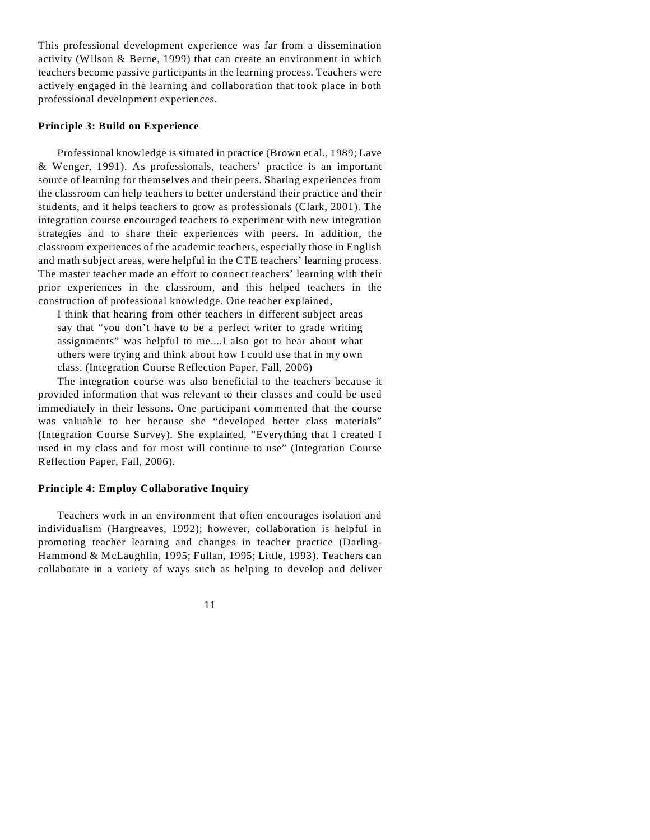This professional development experience was far from a dissemination activity (Wilson & Berne, 1999) that can create an environment in which teachers become passive participants in the learning process. Teachers were actively engaged in the learning and collaboration that took place in both professional development experiences.

#### **Principle 3: Build on Experience**

Professional knowledge is situated in practice (Brown et al., 1989; Lave & Wenger, 1991). As professionals, teachers' practice is an important source of learning for themselves and their peers. Sharing experiences from the classroom can help teachers to better understand their practice and their students, and it helps teachers to grow as professionals (Clark, 2001). The integration course encouraged teachers to experiment with new integration strategies and to share their experiences with peers. In addition, the classroom experiences of the academic teachers, especially those in English and math subject areas, were helpful in the CTE teachers' learning process. The master teacher made an effort to connect teachers' learning with their prior experiences in the classroom, and this helped teachers in the construction of professional knowledge. One teacher explained,

I think that hearing from other teachers in different subject areas say that "you don't have to be a perfect writer to grade writing assignments" was helpful to me....I also got to hear about what others were trying and think about how I could use that in my own class. (Integration Course Reflection Paper, Fall, 2006)

The integration course was also beneficial to the teachers because it provided information that was relevant to their classes and could be used immediately in their lessons. One participant commented that the course was valuable to her because she "developed better class materials" (Integration Course Survey). She explained, "Everything that I created I used in my class and for most will continue to use" (Integration Course Reflection Paper, Fall, 2006).

## **Principle 4: Employ Collaborative Inquiry**

Teachers work in an environment that often encourages isolation and individualism (Hargreaves, 1992); however, collaboration is helpful in promoting teacher learning and changes in teacher practice (Darling-Hammond & McLaughlin, 1995; Fullan, 1995; Little, 1993). Teachers can collaborate in a variety of ways such as helping to develop and deliver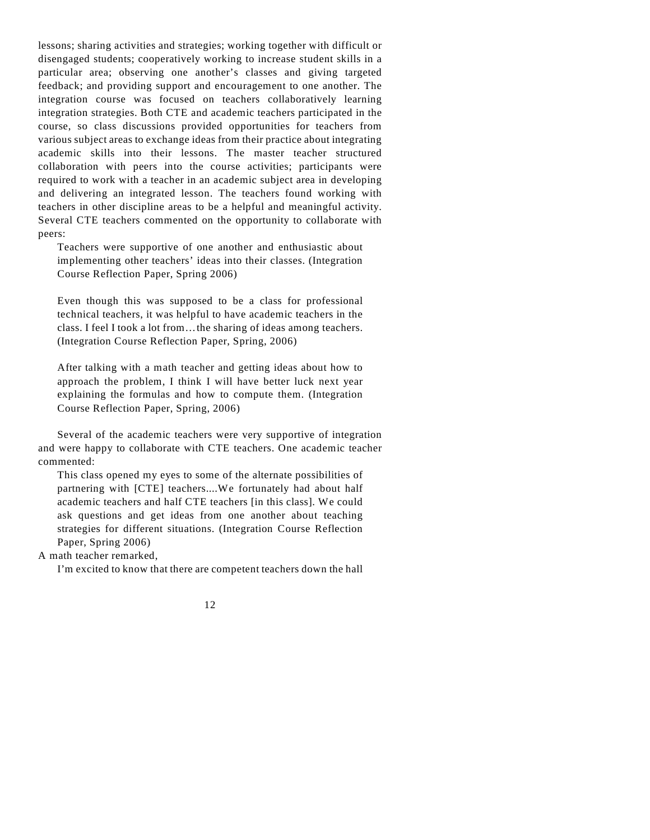lessons; sharing activities and strategies; working together with difficult or disengaged students; cooperatively working to increase student skills in a particular area; observing one another's classes and giving targeted feedback; and providing support and encouragement to one another. The integration course was focused on teachers collaboratively learning integration strategies. Both CTE and academic teachers participated in the course, so class discussions provided opportunities for teachers from various subject areas to exchange ideas from their practice about integrating academic skills into their lessons. The master teacher structured collaboration with peers into the course activities; participants were required to work with a teacher in an academic subject area in developing and delivering an integrated lesson. The teachers found working with teachers in other discipline areas to be a helpful and meaningful activity. Several CTE teachers commented on the opportunity to collaborate with peers:

Teachers were supportive of one another and enthusiastic about implementing other teachers' ideas into their classes. (Integration Course Reflection Paper, Spring 2006)

Even though this was supposed to be a class for professional technical teachers, it was helpful to have academic teachers in the class. I feel I took a lot from…the sharing of ideas among teachers. (Integration Course Reflection Paper, Spring, 2006)

After talking with a math teacher and getting ideas about how to approach the problem, I think I will have better luck next year explaining the formulas and how to compute them. (Integration Course Reflection Paper, Spring, 2006)

Several of the academic teachers were very supportive of integration and were happy to collaborate with CTE teachers. One academic teacher commented:

This class opened my eyes to some of the alternate possibilities of partnering with [CTE] teachers....We fortunately had about half academic teachers and half CTE teachers [in this class]. We could ask questions and get ideas from one another about teaching strategies for different situations. (Integration Course Reflection Paper, Spring 2006)

A math teacher remarked,

I'm excited to know that there are competent teachers down the hall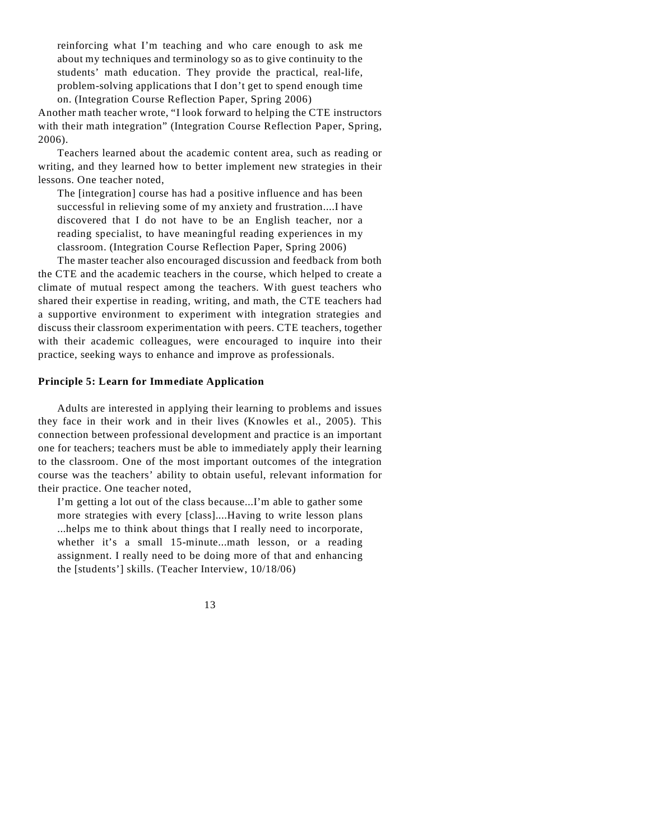reinforcing what I'm teaching and who care enough to ask me about my techniques and terminology so as to give continuity to the students' math education. They provide the practical, real-life, problem-solving applications that I don't get to spend enough time on. (Integration Course Reflection Paper, Spring 2006)

Another math teacher wrote, "I look forward to helping the CTE instructors with their math integration" (Integration Course Reflection Paper, Spring, 2006).

Teachers learned about the academic content area, such as reading or writing, and they learned how to better implement new strategies in their lessons. One teacher noted,

The [integration] course has had a positive influence and has been successful in relieving some of my anxiety and frustration....I have discovered that I do not have to be an English teacher, nor a reading specialist, to have meaningful reading experiences in my classroom. (Integration Course Reflection Paper, Spring 2006)

The master teacher also encouraged discussion and feedback from both the CTE and the academic teachers in the course, which helped to create a climate of mutual respect among the teachers. With guest teachers who shared their expertise in reading, writing, and math, the CTE teachers had a supportive environment to experiment with integration strategies and discuss their classroom experimentation with peers. CTE teachers, together with their academic colleagues, were encouraged to inquire into their practice, seeking ways to enhance and improve as professionals.

#### **Principle 5: Learn for Immediate Application**

Adults are interested in applying their learning to problems and issues they face in their work and in their lives (Knowles et al., 2005). This connection between professional development and practice is an important one for teachers; teachers must be able to immediately apply their learning to the classroom. One of the most important outcomes of the integration course was the teachers' ability to obtain useful, relevant information for their practice. One teacher noted,

I'm getting a lot out of the class because...I'm able to gather some more strategies with every [class]....Having to write lesson plans ...helps me to think about things that I really need to incorporate, whether it's a small 15-minute...math lesson, or a reading assignment. I really need to be doing more of that and enhancing the [students'] skills. (Teacher Interview, 10/18/06)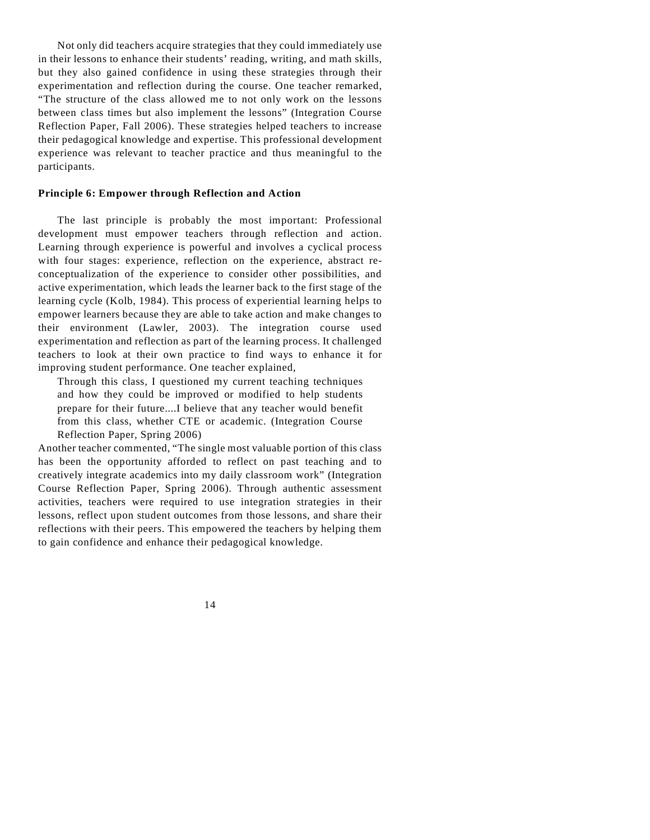Not only did teachers acquire strategies that they could immediately use in their lessons to enhance their students' reading, writing, and math skills, but they also gained confidence in using these strategies through their experimentation and reflection during the course. One teacher remarked, "The structure of the class allowed me to not only work on the lessons between class times but also implement the lessons" (Integration Course Reflection Paper, Fall 2006). These strategies helped teachers to increase their pedagogical knowledge and expertise. This professional development experience was relevant to teacher practice and thus meaningful to the participants.

# **Principle 6: Empower through Reflection and Action**

The last principle is probably the most important: Professional development must empower teachers through reflection and action. Learning through experience is powerful and involves a cyclical process with four stages: experience, reflection on the experience, abstract reconceptualization of the experience to consider other possibilities, and active experimentation, which leads the learner back to the first stage of the learning cycle (Kolb, 1984). This process of experiential learning helps to empower learners because they are able to take action and make changes to their environment (Lawler, 2003). The integration course used experimentation and reflection as part of the learning process. It challenged teachers to look at their own practice to find ways to enhance it for improving student performance. One teacher explained,

Through this class, I questioned my current teaching techniques and how they could be improved or modified to help students prepare for their future....I believe that any teacher would benefit from this class, whether CTE or academic. (Integration Course Reflection Paper, Spring 2006)

Another teacher commented, "The single most valuable portion of this class has been the opportunity afforded to reflect on past teaching and to creatively integrate academics into my daily classroom work" (Integration Course Reflection Paper, Spring 2006). Through authentic assessment activities, teachers were required to use integration strategies in their lessons, reflect upon student outcomes from those lessons, and share their reflections with their peers. This empowered the teachers by helping them to gain confidence and enhance their pedagogical knowledge.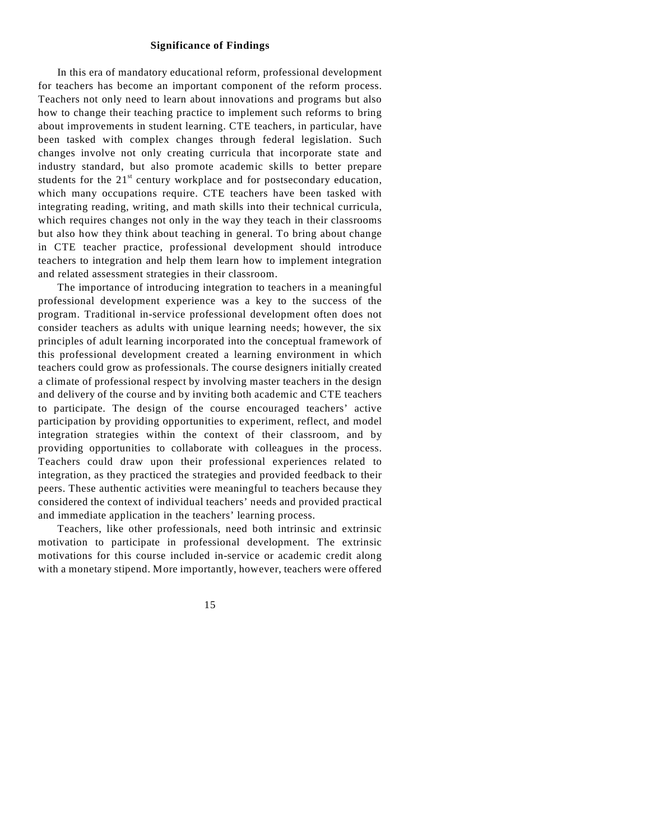## **Significance of Findings**

In this era of mandatory educational reform, professional development for teachers has become an important component of the reform process. Teachers not only need to learn about innovations and programs but also how to change their teaching practice to implement such reforms to bring about improvements in student learning. CTE teachers, in particular, have been tasked with complex changes through federal legislation. Such changes involve not only creating curricula that incorporate state and industry standard, but also promote academic skills to better prepare students for the  $21<sup>st</sup>$  century workplace and for postsecondary education, which many occupations require. CTE teachers have been tasked with integrating reading, writing, and math skills into their technical curricula, which requires changes not only in the way they teach in their classrooms but also how they think about teaching in general. To bring about change in CTE teacher practice, professional development should introduce teachers to integration and help them learn how to implement integration and related assessment strategies in their classroom.

The importance of introducing integration to teachers in a meaningful professional development experience was a key to the success of the program. Traditional in-service professional development often does not consider teachers as adults with unique learning needs; however, the six principles of adult learning incorporated into the conceptual framework of this professional development created a learning environment in which teachers could grow as professionals. The course designers initially created a climate of professional respect by involving master teachers in the design and delivery of the course and by inviting both academic and CTE teachers to participate. The design of the course encouraged teachers' active participation by providing opportunities to experiment, reflect, and model integration strategies within the context of their classroom, and by providing opportunities to collaborate with colleagues in the process. Teachers could draw upon their professional experiences related to integration, as they practiced the strategies and provided feedback to their peers. These authentic activities were meaningful to teachers because they considered the context of individual teachers' needs and provided practical and immediate application in the teachers' learning process.

Teachers, like other professionals, need both intrinsic and extrinsic motivation to participate in professional development. The extrinsic motivations for this course included in-service or academic credit along with a monetary stipend. More importantly, however, teachers were offered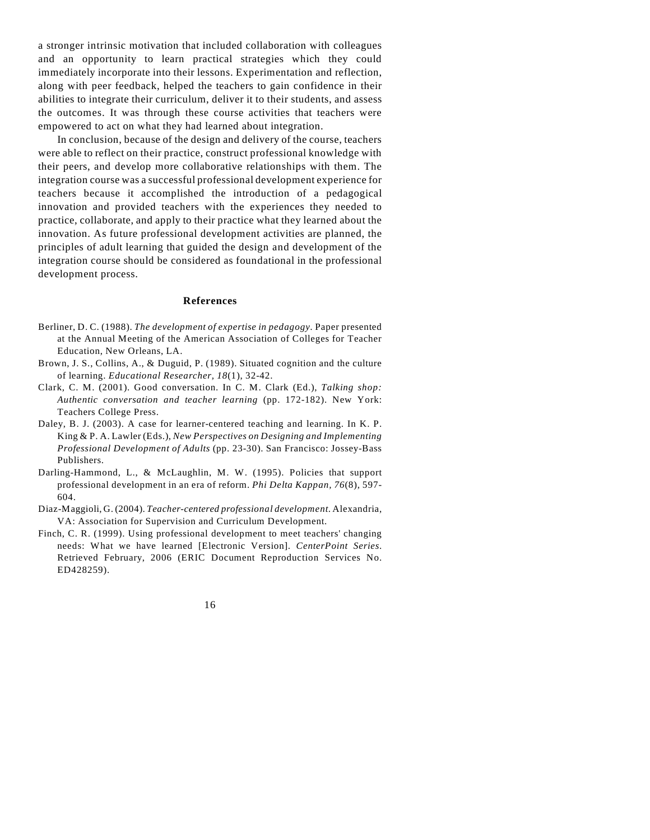a stronger intrinsic motivation that included collaboration with colleagues and an opportunity to learn practical strategies which they could immediately incorporate into their lessons. Experimentation and reflection, along with peer feedback, helped the teachers to gain confidence in their abilities to integrate their curriculum, deliver it to their students, and assess the outcomes. It was through these course activities that teachers were empowered to act on what they had learned about integration.

In conclusion, because of the design and delivery of the course, teachers were able to reflect on their practice, construct professional knowledge with their peers, and develop more collaborative relationships with them. The integration course was a successful professional development experience for teachers because it accomplished the introduction of a pedagogical innovation and provided teachers with the experiences they needed to practice, collaborate, and apply to their practice what they learned about the innovation. As future professional development activities are planned, the principles of adult learning that guided the design and development of the integration course should be considered as foundational in the professional development process.

#### **References**

- Berliner, D. C. (1988). *The development of expertise in pedagogy.* Paper presented at the Annual Meeting of the American Association of Colleges for Teacher Education, New Orleans, LA.
- Brown, J. S., Collins, A., & Duguid, P. (1989). Situated cognition and the culture of learning. *Educational Researcher, 18*(1), 32-42.
- Clark, C. M. (2001). Good conversation. In C. M. Clark (Ed.), *Talking shop: Authentic conversation and teacher learning* (pp. 172-182). New York: Teachers College Press.
- Daley, B. J. (2003). A case for learner-centered teaching and learning. In K. P. King & P. A. Lawler (Eds.), *New Perspectives on Designing and Implementing Professional Development of Adults* (pp. 23-30). San Francisco: Jossey-Bass Publishers.
- Darling-Hammond, L., & McLaughlin, M. W. (1995). Policies that support professional development in an era of reform. *Phi Delta Kappan, 76*(8), 597- 604.
- Diaz-Maggioli, G. (2004). *Teacher-centered professional development*. Alexandria, VA: Association for Supervision and Curriculum Development.
- Finch, C. R. (1999). Using professional development to meet teachers' changing needs: What we have learned [Electronic Version]. *CenterPoint Series*. Retrieved February, 2006 (ERIC Document Reproduction Services No. ED428259).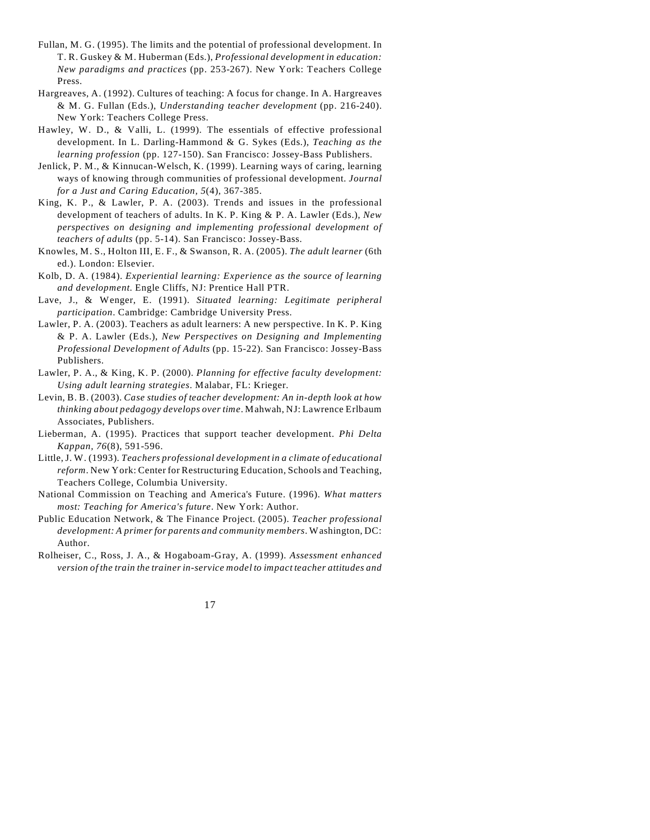- Fullan, M. G. (1995). The limits and the potential of professional development. In T. R. Guskey & M. Huberman (Eds.), *Professional development in education: New paradigms and practices* (pp. 253-267). New York: Teachers College Press.
- Hargreaves, A. (1992). Cultures of teaching: A focus for change. In A. Hargreaves & M. G. Fullan (Eds.), *Understanding teacher development* (pp. 216-240). New York: Teachers College Press.
- Hawley, W. D., & Valli, L. (1999). The essentials of effective professional development. In L. Darling-Hammond & G. Sykes (Eds.), *Teaching as the learning profession* (pp. 127-150). San Francisco: Jossey-Bass Publishers.
- Jenlick, P. M., & Kinnucan-Welsch, K. (1999). Learning ways of caring, learning ways of knowing through communities of professional development. *Journal for a Just and Caring Education, 5*(4), 367-385.
- King, K. P., & Lawler, P. A. (2003). Trends and issues in the professional development of teachers of adults. In K. P. King & P. A. Lawler (Eds.), *New perspectives on designing and implementing professional development of teachers of adults* (pp. 5-14). San Francisco: Jossey-Bass.
- Knowles, M. S., Holton III, E. F., & Swanson, R. A. (2005). *The adult learner* (6th ed.). London: Elsevier.
- Kolb, D. A. (1984). *Experiential learning: Experience as the source of learning and development*. Engle Cliffs, NJ: Prentice Hall PTR.
- Lave, J., & Wenger, E. (1991). *Situated learning: Legitimate peripheral participation*. Cambridge: Cambridge University Press.
- Lawler, P. A. (2003). Teachers as adult learners: A new perspective. In K. P. King & P. A. Lawler (Eds.), *New Perspectives on Designing and Implementing Professional Development of Adults* (pp. 15-22). San Francisco: Jossey-Bass Publishers.
- Lawler, P. A., & King, K. P. (2000). *Planning for effective faculty development: Using adult learning strategies*. Malabar, FL: Krieger.
- Levin, B. B. (2003). *Case studies of teacher development: An in-depth look at how thinking about pedagogy develops over time*. Mahwah, NJ: Lawrence Erlbaum Associates, Publishers.
- Lieberman, A. (1995). Practices that support teacher development. *Phi Delta Kappan, 76*(8), 591-596.
- Little, J. W. (1993). *Teachers professional development in a climate of educational reform*. New York: Center for Restructuring Education, Schools and Teaching, Teachers College, Columbia University.
- National Commission on Teaching and America's Future. (1996). *What matters most: Teaching for America's future*. New York: Author.
- Public Education Network, & The Finance Project. (2005). *Teacher professional development: A primer for parents and community members*. Washington, DC: Author.
- Rolheiser, C., Ross, J. A., & Hogaboam-Gray, A. (1999). *Assessment enhanced version of the train the trainer in-service model to impact teacher attitudes and*